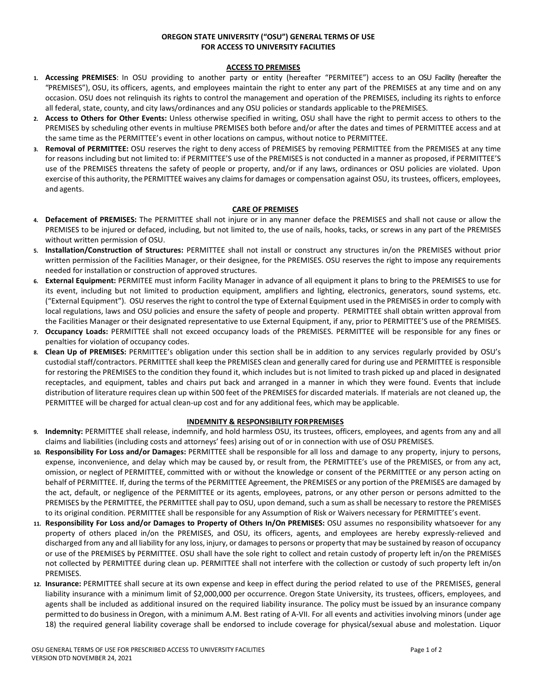# **OREGON STATE UNIVERSITY ("OSU") GENERAL TERMS OF USE FOR ACCESS TO UNIVERSITY FACILITIES**

### **ACCESS TO PREMISES**

- **1. Accessing PREMISES**: In OSU providing to another party or entity (hereafter "PERMITEE") access to an OSU Facility (hereafter the "PREMISES"), OSU, its officers, agents, and employees maintain the right to enter any part of the PREMISES at any time and on any occasion. OSU does not relinquish its rights to control the management and operation of the PREMISES, including its rights to enforce all federal, state, county, and city laws/ordinances and any OSU policies or standards applicable to thePREMISES.
- **2. Access to Others for Other Events:** Unless otherwise specified in writing, OSU shall have the right to permit access to others to the PREMISES by scheduling other events in multiuse PREMISES both before and/or after the dates and times of PERMITTEE access and at the same time as the PERMITTEE's event in other locations on campus, without notice to PERMITTEE.
- **3. Removal of PERMITTEE:** OSU reserves the right to deny access of PREMISES by removing PERMITTEE from the PREMISES at any time for reasons including but not limited to: if PERMITTEE'S use of the PREMISES is not conducted in a manner as proposed, if PERMITTEE'S use of the PREMISES threatens the safety of people or property, and/or if any laws, ordinances or OSU policies are violated. Upon exercise of this authority, the PERMITTEE waives any claimsfor damages or compensation against OSU, its trustees, officers, employees, and agents.

#### **CARE OF PREMISES**

- **4. Defacement of PREMISES:** The PERMITTEE shall not injure or in any manner deface the PREMISES and shall not cause or allow the PREMISES to be injured or defaced, including, but not limited to, the use of nails, hooks, tacks, or screws in any part of the PREMISES without written permission of OSU.
- **5. Installation/Construction of Structures:** PERMITTEE shall not install or construct any structures in/on the PREMISES without prior written permission of the Facilities Manager, or their designee, for the PREMISES. OSU reserves the right to impose any requirements needed for installation or construction of approved structures.
- **6. External Equipment:** PERMITEE must inform Facility Manager in advance of all equipment it plans to bring to the PREMISES to use for its event, including but not limited to production equipment, amplifiers and lighting, electronics, generators, sound systems, etc. ("External Equipment"). OSU reserves the right to control the type of External Equipment used in the PREMISES in order to comply with local regulations, laws and OSU policies and ensure the safety of people and property. PERMITTEE shall obtain written approval from the Facilities Manager or their designated representative to use External Equipment, if any, prior to PERMITTEE'S use of the PREMISES.
- **7. Occupancy Loads:** PERMITTEE shall not exceed occupancy loads of the PREMISES. PERMITTEE will be responsible for any fines or penalties for violation of occupancy codes.
- **8. Clean Up of PREMISES:** PERMITTEE's obligation under this section shall be in addition to any services regularly provided by OSU's custodial staff/contractors. PERMITTEE shall keep the PREMISES clean and generally cared for during use and PERMITTEE is responsible for restoring the PREMISES to the condition they found it, which includes but is not limited to trash picked up and placed in designated receptacles, and equipment, tables and chairs put back and arranged in a manner in which they were found. Events that include distribution of literature requires clean up within 500 feet of the PREMISES for discarded materials. If materials are not cleaned up, the PERMITTEE will be charged for actual clean-up cost and for any additional fees, which may be applicable.

### **INDEMNITY & RESPONSIBILITY FORPREMISES**

- **9. Indemnity:** PERMITTEE shall release, indemnify, and hold harmless OSU, its trustees, officers, employees, and agents from any and all claims and liabilities (including costs and attorneys' fees) arising out of or in connection with use of OSU PREMISES.
- **10. Responsibility For Loss and/or Damages:** PERMITTEE shall be responsible for all loss and damage to any property, injury to persons, expense, inconvenience, and delay which may be caused by, or result from, the PERMITTEE's use of the PREMISES, or from any act, omission, or neglect of PERMITTEE, committed with or without the knowledge or consent of the PERMITTEE or any person acting on behalf of PERMITTEE. If, during the terms of the PERMITTEE Agreement, the PREMISES or any portion of the PREMISES are damaged by the act, default, or negligence of the PERMITTEE or its agents, employees, patrons, or any other person or persons admitted to the PREMISES by the PERMITTEE, the PERMITTEE shall pay to OSU, upon demand, such a sum as shall be necessary to restore the PREMISES to its original condition. PERMITTEE shall be responsible for any Assumption of Risk or Waivers necessary for PERMITTEE's event.
- **11. Responsibility For Loss and/or Damages to Property of Others In/On PREMISES:** OSU assumes no responsibility whatsoever for any property of others placed in/on the PREMISES, and OSU, its officers, agents, and employees are hereby expressly-relieved and discharged from any and all liability for any loss, injury, or damages to persons or property that may be sustained by reason of occupancy or use of the PREMISES by PERMITTEE. OSU shall have the sole right to collect and retain custody of property left in/on the PREMISES not collected by PERMITTEE during clean up. PERMITTEE shall not interfere with the collection or custody of such property left in/on PREMISES.
- **12. Insurance:** PERMITTEE shall secure at its own expense and keep in effect during the period related to use of the PREMISES, general liability insurance with a minimum limit of \$2,000,000 per occurrence. Oregon State University, its trustees, officers, employees, and agents shall be included as additional insured on the required liability insurance. The policy must be issued by an insurance company permitted to do business in Oregon, with a minimum A.M. Best rating of A-VII. For all events and activities involving minors (under age 18) the required general liability coverage shall be endorsed to include coverage for physical/sexual abuse and molestation. Liquor